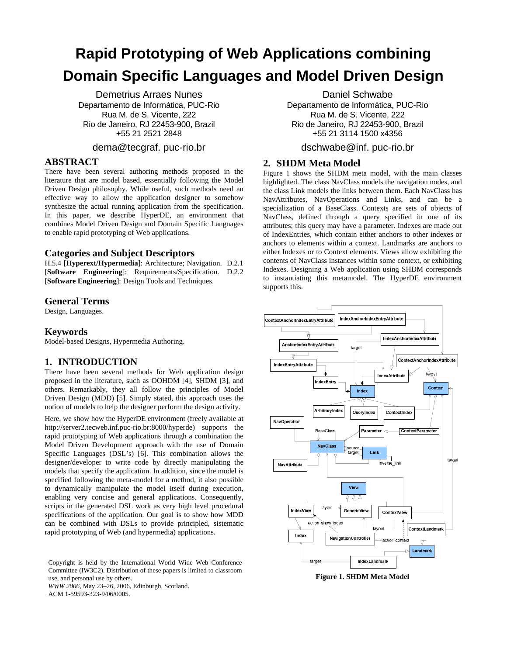# **Rapid Prototyping of Web Applications combining Domain Specific Languages and Model Driven Design**

Demetrius Arraes Nunes Departamento de Informática, PUC-Rio Rua M. de S. Vicente, 222 Rio de Janeiro, RJ 22453-900, Brazil +55 21 2521 2848

## dema@tecgraf. puc-rio.br

## **ABSTRACT**

There have been several authoring methods proposed in the literature that are model based, essentially following the Model Driven Design philosophy. While useful, such methods need an effective way to allow the application designer to somehow synthesize the actual running application from the specification. In this paper, we describe HyperDE, an environment that combines Model Driven Design and Domain Specific Languages to enable rapid prototyping of Web applications.

## **Categories and Subject Descriptors**

H.5.4 [**Hyperext/Hypermedia**]: Architecture; Navigation. D.2.1 [**Software Engineering**]: Requirements/Specification. D.2.2 [**Software Engineering**]: Design Tools and Techniques.

#### **General Terms**

Design, Languages.

## **Keywords**

Model-based Designs, Hypermedia Authoring.

## **1. INTRODUCTION**

There have been several methods for Web application design proposed in the literature, such as OOHDM [\[4\],](#page-1-0) SHDM [\[3\],](#page-1-1) and others. Remarkably, they all follow the principles of Model Driven Design (MDD) [\[5\].](#page-1-2) Simply stated, this approach uses the notion of models to help the designer perform the design activity.

Here, we show how the HyperDE environment (freely available at http://server2.tecweb.inf.puc-rio.br:8000/hyperde) supports the rapid prototyping of Web applications through a combination the Model Driven Development approach with the use of Domain Specific Languages (DSL's) [\[6\].](#page-1-3) This combination allows the designer/developer to write code by directly manipulating the models that specify the application. In addition, since the model is specified following the meta-model for a method, it also possible to dynamically manipulate the model itself during execution, enabling very concise and general applications. Consequently, scripts in the generated DSL work as very high level procedural specifications of the application. Our goal is to show how MDD can be combined with DSLs to provide principled, sistematic rapid prototyping of Web (and hypermedia) applications.

Copyright is held by the International World Wide Web Conference Committee (IW3C2). Distribution of these papers is limited to classroom use, and personal use by others.

*WWW 2006,* May 23–26, 2006, Edinburgh, Scotland.

ACM 1-59593-323-9/06/0005.

Daniel Schwabe

Departamento de Informática, PUC-Rio Rua M. de S. Vicente, 222 Rio de Janeiro, RJ 22453-900, Brazil +55 21 3114 1500 x4356

## dschwabe@inf. puc-rio.br

## **2. SHDM Meta Model**

[Figure 1](#page-0-0) shows the SHDM meta model, with the main classes highlighted. The class NavClass models the navigation nodes, and the class Link models the links between them. Each NavClass has NavAttributes, NavOperations and Links, and can be a specialization of a BaseClass. Contexts are sets of objects of NavClass, defined through a query specified in one of its attributes; this query may have a parameter. Indexes are made out of IndexEntries, which contain either anchors to other indexes or anchors to elements within a context. Landmarks are anchors to either Indexes or to Context elements. Views allow exhibiting the contents of NavClass instances within some context, or exhibiting Indexes. Designing a Web application using SHDM corresponds to instantiating this metamodel. The HyperDE environment supports this.

<span id="page-0-0"></span>

**Figure 1. SHDM Meta Model**